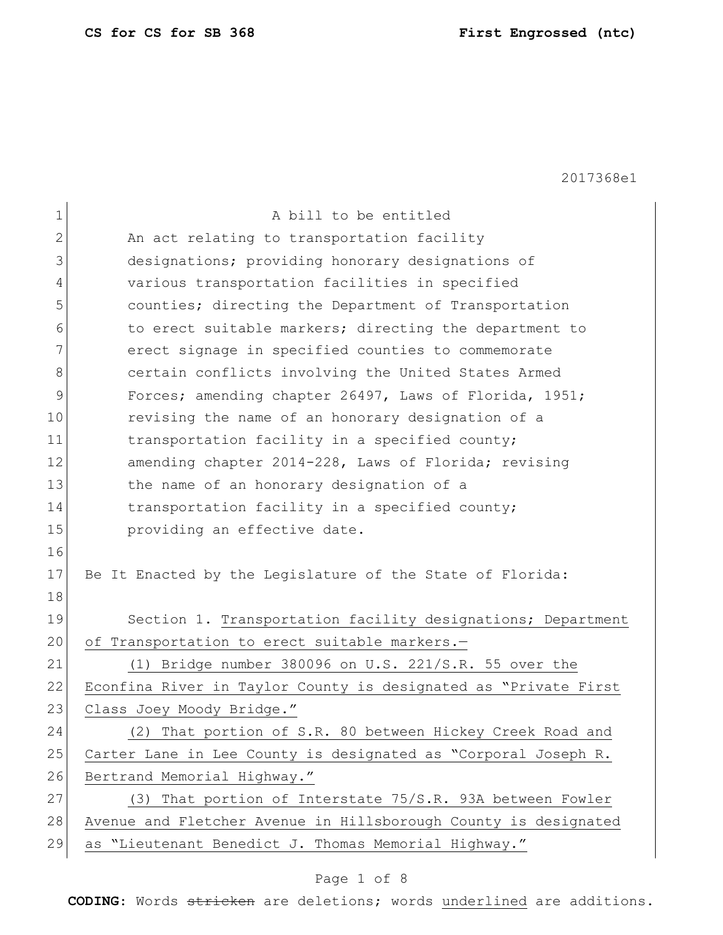| 1              | A bill to be entitled                                           |
|----------------|-----------------------------------------------------------------|
| $\overline{2}$ | An act relating to transportation facility                      |
| 3              | designations; providing honorary designations of                |
| 4              | various transportation facilities in specified                  |
| 5              | counties; directing the Department of Transportation            |
| 6              | to erect suitable markers; directing the department to          |
| 7              | erect signage in specified counties to commemorate              |
| 8              | certain conflicts involving the United States Armed             |
| 9              | Forces; amending chapter 26497, Laws of Florida, 1951;          |
| 10             | revising the name of an honorary designation of a               |
| 11             | transportation facility in a specified county;                  |
| 12             | amending chapter 2014-228, Laws of Florida; revising            |
| 13             | the name of an honorary designation of a                        |
| 14             | transportation facility in a specified county;                  |
| 15             | providing an effective date.                                    |
| 16             |                                                                 |
| 17             | Be It Enacted by the Legislature of the State of Florida:       |
| 18             |                                                                 |
| 19             | Section 1. Transportation facility designations; Department     |
| 20             | of Transportation to erect suitable markers.-                   |
| 21             | (1) Bridge number 380096 on U.S. 221/S.R. 55 over the           |
| 22             | Econfina River in Taylor County is designated as "Private First |
| 23             | Class Joey Moody Bridge."                                       |
| 24             | (2) That portion of S.R. 80 between Hickey Creek Road and       |
| 25             | Carter Lane in Lee County is designated as "Corporal Joseph R.  |
| 26             | Bertrand Memorial Highway."                                     |
| 27             | (3) That portion of Interstate 75/S.R. 93A between Fowler       |
| 28             | Avenue and Fletcher Avenue in Hillsborough County is designated |
| 29             | as "Lieutenant Benedict J. Thomas Memorial Highway."            |

# Page 1 of 8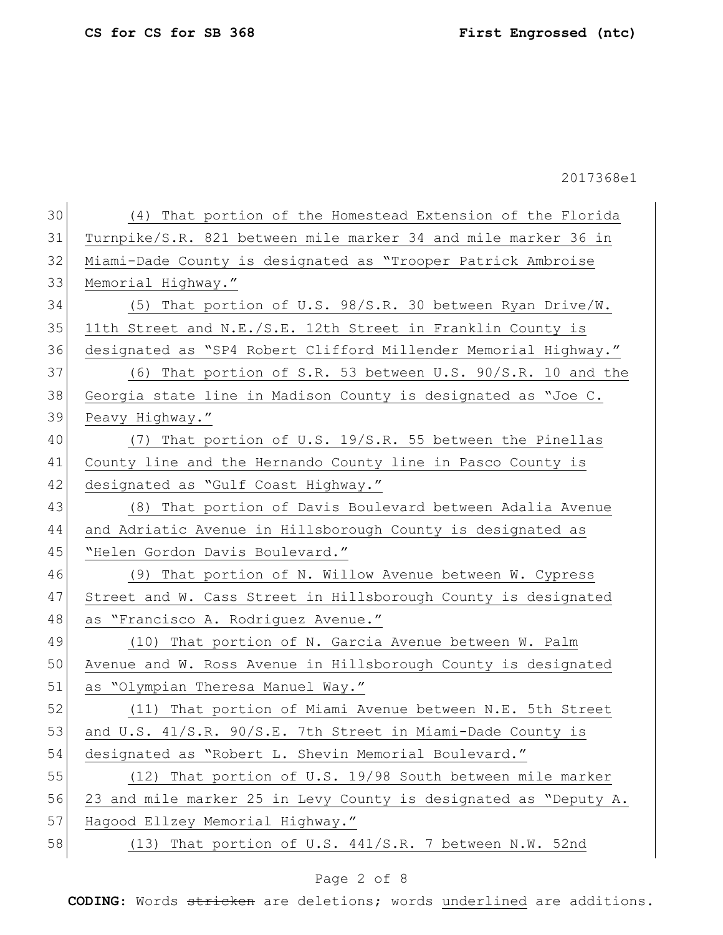| 30 | (4) That portion of the Homestead Extension of the Florida       |
|----|------------------------------------------------------------------|
| 31 | Turnpike/S.R. 821 between mile marker 34 and mile marker 36 in   |
| 32 | Miami-Dade County is designated as "Trooper Patrick Ambroise     |
| 33 | Memorial Highway."                                               |
| 34 | (5) That portion of U.S. 98/S.R. 30 between Ryan Drive/W.        |
| 35 | 11th Street and N.E./S.E. 12th Street in Franklin County is      |
| 36 | designated as "SP4 Robert Clifford Millender Memorial Highway."  |
| 37 | (6) That portion of S.R. 53 between U.S. 90/S.R. 10 and the      |
| 38 | Georgia state line in Madison County is designated as "Joe C.    |
| 39 | Peavy Highway."                                                  |
| 40 | (7) That portion of U.S. 19/S.R. 55 between the Pinellas         |
| 41 | County line and the Hernando County line in Pasco County is      |
| 42 | designated as "Gulf Coast Highway."                              |
| 43 | (8) That portion of Davis Boulevard between Adalia Avenue        |
| 44 | and Adriatic Avenue in Hillsborough County is designated as      |
|    |                                                                  |
| 45 | "Helen Gordon Davis Boulevard."                                  |
| 46 | (9) That portion of N. Willow Avenue between W. Cypress          |
| 47 | Street and W. Cass Street in Hillsborough County is designated   |
| 48 | as "Francisco A. Rodriguez Avenue."                              |
| 49 | (10) That portion of N. Garcia Avenue between W. Palm            |
| 50 | Avenue and W. Ross Avenue in Hillsborough County is designated   |
| 51 | as "Olympian Theresa Manuel Way."                                |
| 52 | (11) That portion of Miami Avenue between N.E. 5th Street        |
| 53 | and U.S. 41/S.R. 90/S.E. 7th Street in Miami-Dade County is      |
| 54 | designated as "Robert L. Shevin Memorial Boulevard."             |
| 55 | (12) That portion of U.S. 19/98 South between mile marker        |
| 56 | 23 and mile marker 25 in Levy County is designated as "Deputy A. |
| 57 | Hagood Ellzey Memorial Highway."                                 |
| 58 | (13) That portion of U.S. 441/S.R. 7 between N.W. 52nd           |

# Page 2 of 8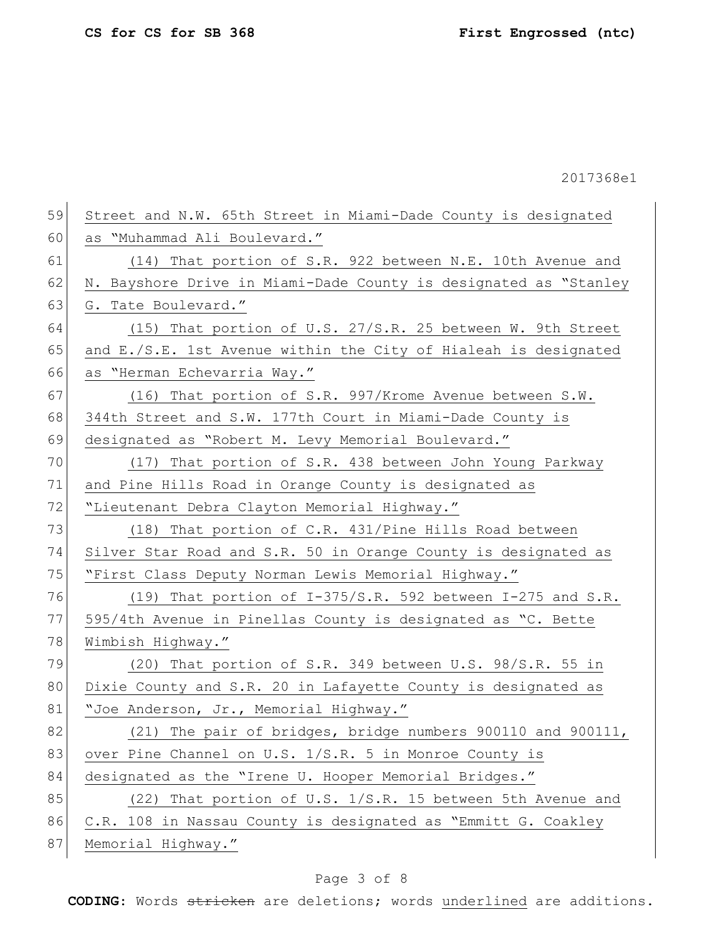59 Street and N.W. 65th Street in Miami-Dade County is designated 60 as "Muhammad Ali Boulevard." 61 (14) That portion of S.R. 922 between N.E. 10th Avenue and 62 N. Bayshore Drive in Miami-Dade County is designated as "Stanley 63 G. Tate Boulevard." 64 (15) That portion of U.S. 27/S.R. 25 between W. 9th Street 65 and E./S.E. 1st Avenue within the City of Hialeah is designated 66 as "Herman Echevarria Way." 67 (16) That portion of S.R. 997/Krome Avenue between S.W. 68 344th Street and S.W. 177th Court in Miami-Dade County is 69 designated as "Robert M. Levy Memorial Boulevard." 70 (17) That portion of S.R. 438 between John Young Parkway 71 and Pine Hills Road in Orange County is designated as 72 "Lieutenant Debra Clayton Memorial Highway." 73 (18) That portion of C.R. 431/Pine Hills Road between 74 Silver Star Road and S.R. 50 in Orange County is designated as 75 "First Class Deputy Norman Lewis Memorial Highway." 76 (19) That portion of  $I-375/S.R.$  592 between I-275 and S.R. 77 595/4th Avenue in Pinellas County is designated as "C. Bette 78 Wimbish Highway." 79 (20) That portion of S.R. 349 between U.S. 98/S.R. 55 in 80 Dixie County and S.R. 20 in Lafayette County is designated as 81 | "Joe Anderson, Jr., Memorial Highway." 82 (21) The pair of bridges, bridge numbers 900110 and 900111, 83 over Pine Channel on U.S. 1/S.R. 5 in Monroe County is 84 designated as the "Irene U. Hooper Memorial Bridges." 85 (22) That portion of U.S. 1/S.R. 15 between 5th Avenue and 86 C.R. 108 in Nassau County is designated as "Emmitt G. Coakley

87 Memorial Highway."

## Page 3 of 8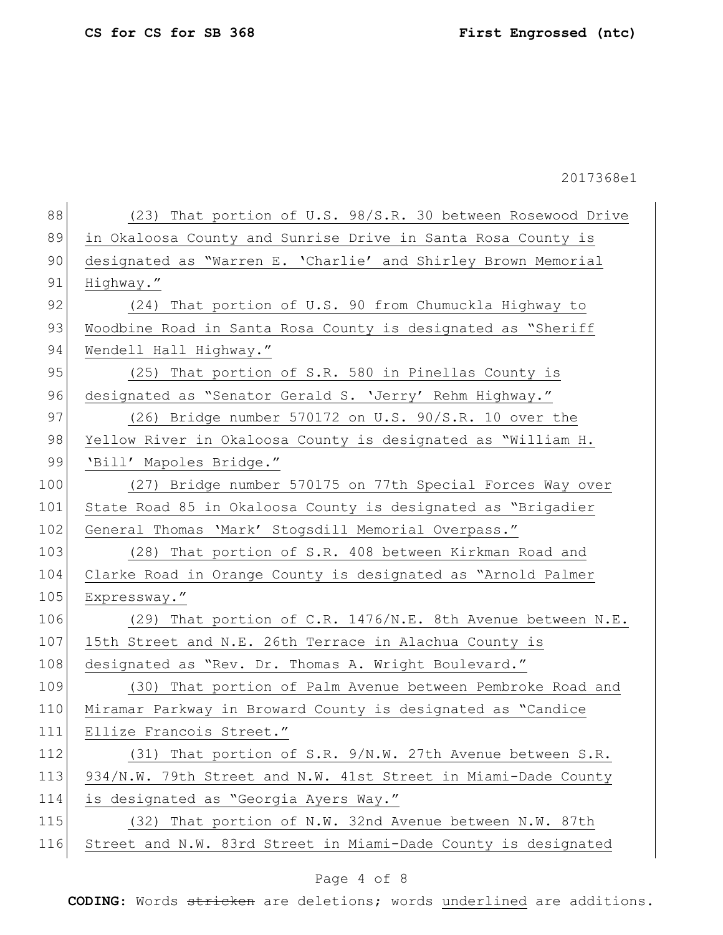| (23) That portion of U.S. 98/S.R. 30 between Rosewood Drive    |
|----------------------------------------------------------------|
| in Okaloosa County and Sunrise Drive in Santa Rosa County is   |
| designated as "Warren E. 'Charlie' and Shirley Brown Memorial  |
| Highway."                                                      |
| (24) That portion of U.S. 90 from Chumuckla Highway to         |
| Woodbine Road in Santa Rosa County is designated as "Sheriff   |
| Wendell Hall Highway."                                         |
| (25) That portion of S.R. 580 in Pinellas County is            |
| designated as "Senator Gerald S. 'Jerry' Rehm Highway."        |
| $(26)$ Bridge number 570172 on U.S. 90/S.R. 10 over the        |
| Yellow River in Okaloosa County is designated as "William H.   |
| 'Bill' Mapoles Bridge."                                        |
| (27) Bridge number 570175 on 77th Special Forces Way over      |
| State Road 85 in Okaloosa County is designated as "Brigadier   |
| General Thomas 'Mark' Stogsdill Memorial Overpass."            |
| (28) That portion of S.R. 408 between Kirkman Road and         |
| Clarke Road in Orange County is designated as "Arnold Palmer   |
| Expressway."                                                   |
| (29) That portion of C.R. 1476/N.E. 8th Avenue between N.E.    |
| 15th Street and N.E. 26th Terrace in Alachua County is         |
| designated as "Rev. Dr. Thomas A. Wright Boulevard."           |
| (30) That portion of Palm Avenue between Pembroke Road and     |
| Miramar Parkway in Broward County is designated as "Candice    |
| Ellize Francois Street."                                       |
| (31) That portion of S.R. 9/N.W. 27th Avenue between S.R.      |
| 934/N.W. 79th Street and N.W. 41st Street in Miami-Dade County |
| is designated as "Georgia Ayers Way."                          |
| (32) That portion of N.W. 32nd Avenue between N.W. 87th        |
| Street and N.W. 83rd Street in Miami-Dade County is designated |
|                                                                |

# Page 4 of 8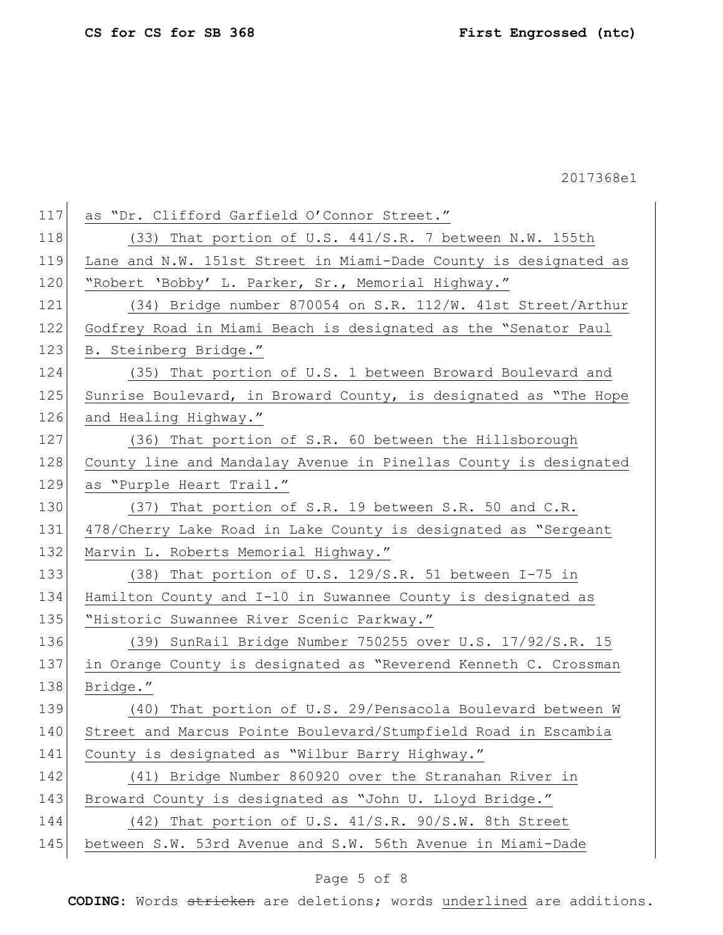| 117 | as "Dr. Clifford Garfield O'Connor Street."                      |
|-----|------------------------------------------------------------------|
| 118 | (33) That portion of U.S. 441/S.R. 7 between N.W. 155th          |
| 119 | Lane and N.W. 151st Street in Miami-Dade County is designated as |
| 120 | "Robert 'Bobby' L. Parker, Sr., Memorial Highway."               |
| 121 | (34) Bridge number 870054 on S.R. 112/W. 41st Street/Arthur      |
| 122 | Godfrey Road in Miami Beach is designated as the "Senator Paul   |
| 123 | B. Steinberg Bridge."                                            |
| 124 | (35) That portion of U.S. 1 between Broward Boulevard and        |
| 125 | Sunrise Boulevard, in Broward County, is designated as "The Hope |
| 126 | and Healing Highway."                                            |
| 127 | (36) That portion of S.R. 60 between the Hillsborough            |
| 128 | County line and Mandalay Avenue in Pinellas County is designated |
| 129 | as "Purple Heart Trail."                                         |
| 130 | (37) That portion of S.R. 19 between S.R. 50 and C.R.            |
| 131 | 478/Cherry Lake Road in Lake County is designated as "Sergeant   |
| 132 | Marvin L. Roberts Memorial Highway."                             |
| 133 | (38) That portion of U.S. 129/S.R. 51 between I-75 in            |
| 134 | Hamilton County and I-10 in Suwannee County is designated as     |
| 135 | "Historic Suwannee River Scenic Parkway."                        |
| 136 | (39) SunRail Bridge Number 750255 over U.S. 17/92/S.R. 15        |
| 137 | in Orange County is designated as "Reverend Kenneth C. Crossman  |
| 138 | Bridge."                                                         |
| 139 | (40) That portion of U.S. 29/Pensacola Boulevard between W       |
| 140 | Street and Marcus Pointe Boulevard/Stumpfield Road in Escambia   |
| 141 | County is designated as "Wilbur Barry Highway."                  |
| 142 | (41) Bridge Number 860920 over the Stranahan River in            |
| 143 | Broward County is designated as "John U. Lloyd Bridge."          |
| 144 | (42) That portion of U.S. 41/S.R. 90/S.W. 8th Street             |
| 145 | between S.W. 53rd Avenue and S.W. 56th Avenue in Miami-Dade      |
|     |                                                                  |

# Page 5 of 8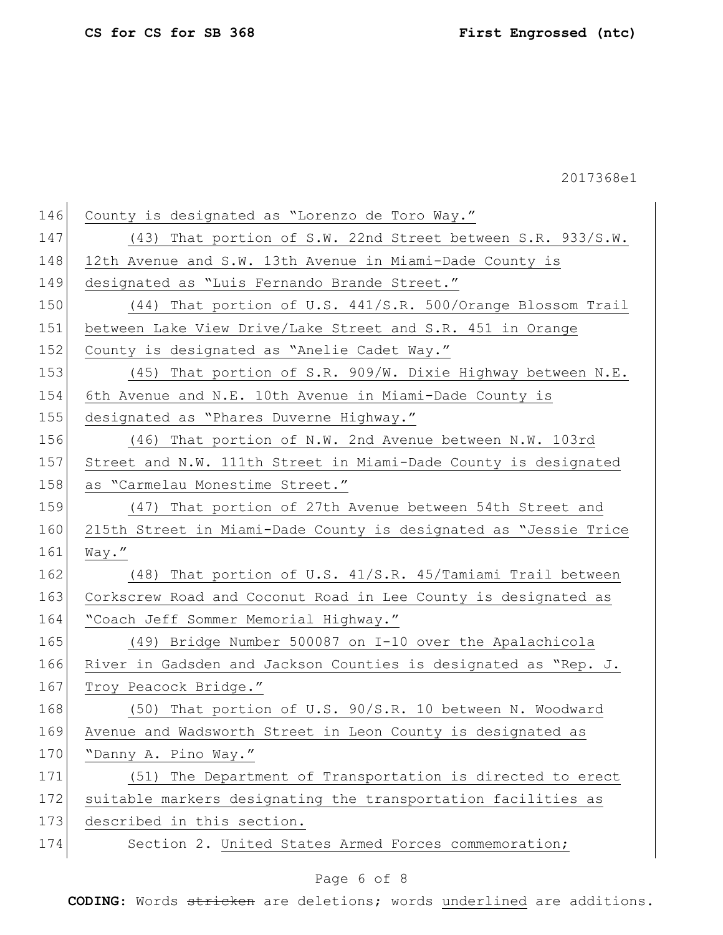| 146 | County is designated as "Lorenzo de Toro Way."                   |
|-----|------------------------------------------------------------------|
| 147 | $(43)$ That portion of S.W. 22nd Street between S.R. 933/S.W.    |
| 148 | 12th Avenue and S.W. 13th Avenue in Miami-Dade County is         |
| 149 | designated as "Luis Fernando Brande Street."                     |
| 150 | (44) That portion of U.S. 441/S.R. 500/Orange Blossom Trail      |
| 151 | between Lake View Drive/Lake Street and S.R. 451 in Orange       |
| 152 | County is designated as "Anelie Cadet Way."                      |
| 153 | $(45)$ That portion of S.R. 909/W. Dixie Highway between N.E.    |
| 154 | 6th Avenue and N.E. 10th Avenue in Miami-Dade County is          |
| 155 | designated as "Phares Duverne Highway."                          |
| 156 | (46) That portion of N.W. 2nd Avenue between N.W. 103rd          |
| 157 | Street and N.W. 111th Street in Miami-Dade County is designated  |
| 158 | as "Carmelau Monestime Street."                                  |
| 159 | (47) That portion of 27th Avenue between 54th Street and         |
| 160 | 215th Street in Miami-Dade County is designated as "Jessie Trice |
| 161 | Way."                                                            |
| 162 | (48) That portion of U.S. 41/S.R. 45/Tamiami Trail between       |
| 163 | Corkscrew Road and Coconut Road in Lee County is designated as   |
| 164 | "Coach Jeff Sommer Memorial Highway."                            |
| 165 | (49) Bridge Number 500087 on I-10 over the Apalachicola          |
| 166 | River in Gadsden and Jackson Counties is designated as "Rep. J.  |
| 167 |                                                                  |
|     | Troy Peacock Bridge."                                            |
| 168 | (50) That portion of U.S. 90/S.R. 10 between N. Woodward         |
| 169 | Avenue and Wadsworth Street in Leon County is designated as      |
| 170 | "Danny A. Pino Way."                                             |
| 171 | (51) The Department of Transportation is directed to erect       |
| 172 | suitable markers designating the transportation facilities as    |
| 173 | described in this section.                                       |
| 174 | Section 2. United States Armed Forces commemoration;             |

# Page 6 of 8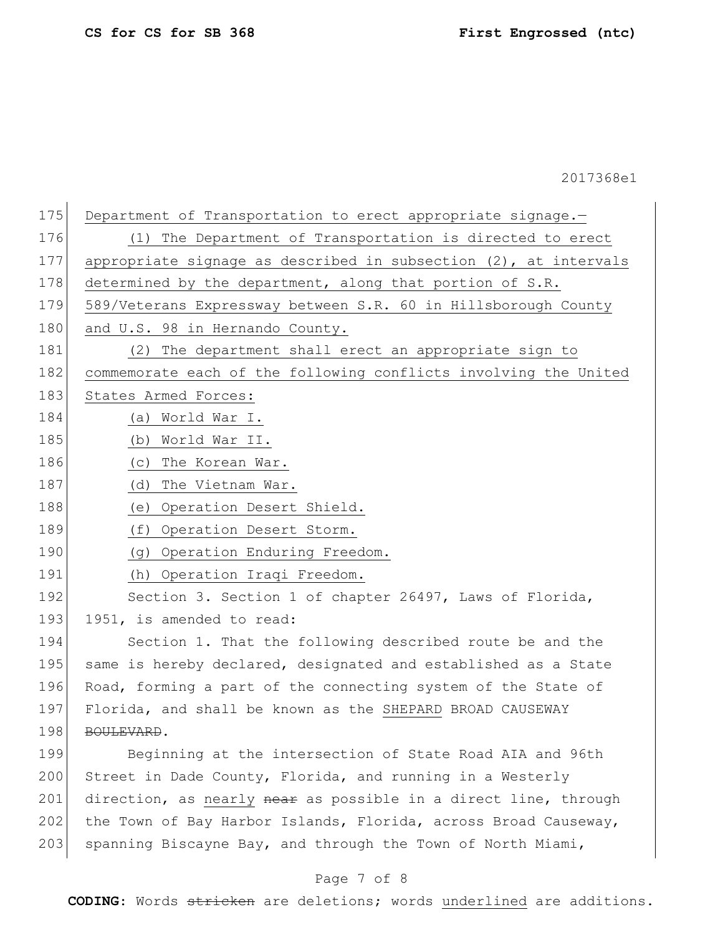| 175 | Department of Transportation to erect appropriate signage.-         |
|-----|---------------------------------------------------------------------|
| 176 | (1) The Department of Transportation is directed to erect           |
| 177 | appropriate signage as described in subsection $(2)$ , at intervals |
| 178 | determined by the department, along that portion of S.R.            |
| 179 | 589/Veterans Expressway between S.R. 60 in Hillsborough County      |
| 180 | and U.S. 98 in Hernando County.                                     |
| 181 | (2) The department shall erect an appropriate sign to               |
| 182 | commemorate each of the following conflicts involving the United    |
| 183 | States Armed Forces:                                                |
| 184 | (a) World War I.                                                    |
| 185 | (b) World War II.                                                   |
| 186 | (c) The Korean War.                                                 |
| 187 | (d) The Vietnam War.                                                |
| 188 | (e) Operation Desert Shield.                                        |
| 189 | (f) Operation Desert Storm.                                         |
| 190 | (g) Operation Enduring Freedom.                                     |
| 191 | (h) Operation Iraqi Freedom.                                        |
| 192 | Section 3. Section 1 of chapter 26497, Laws of Florida,             |
| 193 | 1951, is amended to read:                                           |
| 194 | Section 1. That the following described route be and the            |
| 195 | same is hereby declared, designated and established as a State      |
| 196 | Road, forming a part of the connecting system of the State of       |
| 197 | Florida, and shall be known as the SHEPARD BROAD CAUSEWAY           |
| 198 | BOULEVARD.                                                          |
| 199 | Beginning at the intersection of State Road AIA and 96th            |
| 200 | Street in Dade County, Florida, and running in a Westerly           |
| 201 | direction, as nearly near as possible in a direct line, through     |
| 202 | the Town of Bay Harbor Islands, Florida, across Broad Causeway,     |
| 203 | spanning Biscayne Bay, and through the Town of North Miami,         |
|     |                                                                     |

# Page 7 of 8